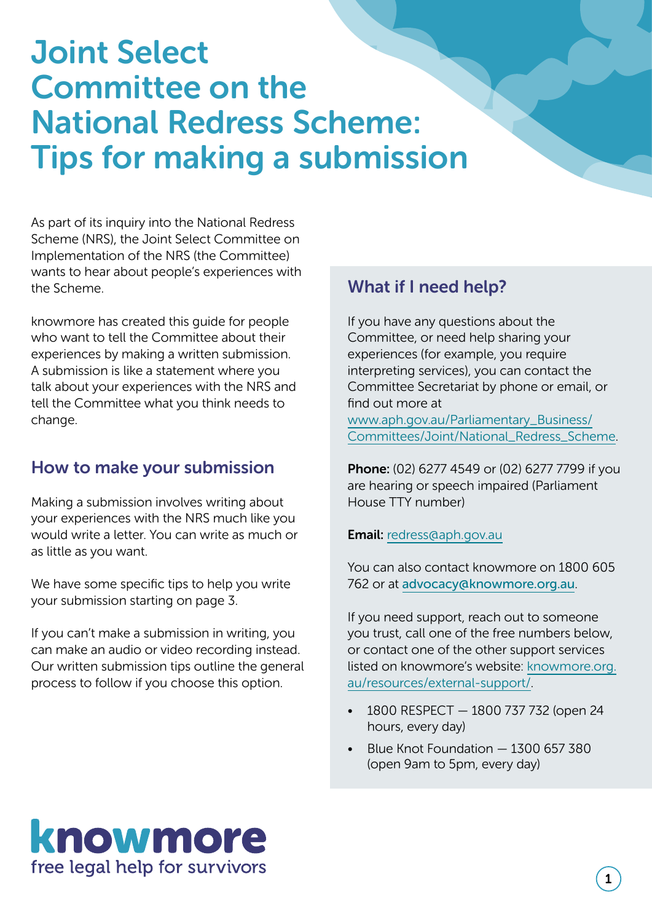# Joint Select Committee on the National Redress Scheme: Tips for making a submission

As part of its inquiry into the National Redress Scheme (NRS), the Joint Select Committee on Implementation of the NRS (the Committee) wants to hear about people's experiences with the Scheme.

knowmore has created this guide for people who want to tell the Committee about their experiences by making a written submission. A submission is like a statement where you talk about your experiences with the NRS and tell the Committee what you think needs to change.

### How to make your submission

Making a submission involves writing about your experiences with the NRS much like you would write a letter. You can write as much or as little as you want.

We have some specific tips to help you write your submission starting on page 3.

If you can't make a submission in writing, you can make an audio or video recording instead. Our written submission tips outline the general process to follow if you choose this option.

### What if I need help?

If you have any questions about the Committee, or need help sharing your experiences (for example, you require interpreting services), you can contact the Committee Secretariat by phone or email, or find out more at

www.aph.gov.au/Parliamentary\_Business/ Committees/Joint/National\_Redress\_Scheme.

Phone: (02) 6277 4549 or (02) 6277 7799 if you are hearing or speech impaired (Parliament House TTY number)

Email: redress@aph.gov.au

You can also contact knowmore on 1800 605 762 or at advocacy@knowmore.org.au.

If you need support, reach out to someone you trust, call one of the free numbers below, or contact one of the other support services listed on knowmore's website: knowmore.org. au/resources/external-support/.

- 1800 RESPECT 1800 737 732 (open 24 hours, every day)
- Blue Knot Foundation 1300 657 380 (open 9am to 5pm, every day)

## knowmore free legal help for survivors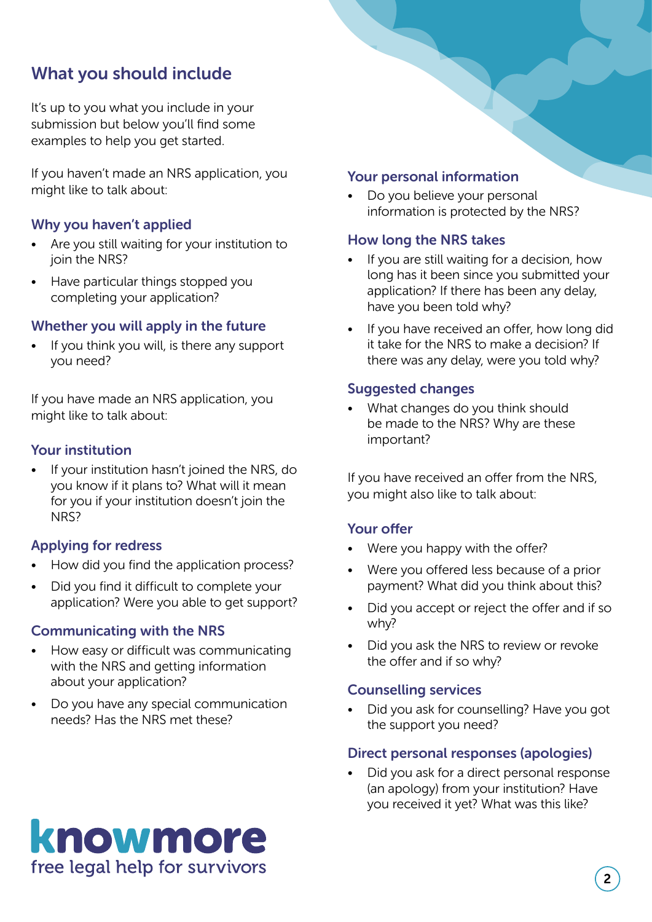## What you should include

It's up to you what you include in your submission but below you'll find some examples to help you get started.

If you haven't made an NRS application, you might like to talk about:

#### Why you haven't applied

- Are you still waiting for your institution to join the NRS?
- Have particular things stopped you completing your application?

#### Whether you will apply in the future

If you think you will, is there any support you need?

If you have made an NRS application, you might like to talk about:

#### Your institution

If your institution hasn't joined the NRS, do you know if it plans to? What will it mean for you if your institution doesn't join the NRS?

#### Applying for redress

- How did you find the application process?
- Did you find it difficult to complete your application? Were you able to get support?

#### Communicating with the NRS

- How easy or difficult was communicating with the NRS and getting information about your application?
- Do you have any special communication needs? Has the NRS met these?

#### Your personal information

Do you believe your personal information is protected by the NRS?

#### How long the NRS takes

- If you are still waiting for a decision, how long has it been since you submitted your application? If there has been any delay, have you been told why?
- If you have received an offer, how long did it take for the NRS to make a decision? If there was any delay, were you told why?

#### Suggested changes

• What changes do you think should be made to the NRS? Why are these important?

If you have received an offer from the NRS, you might also like to talk about:

#### Your offer

- Were you happy with the offer?
- Were you offered less because of a prior payment? What did you think about this?
- Did you accept or reject the offer and if so why?
- Did you ask the NRS to review or revoke the offer and if so why?

#### Counselling services

• Did you ask for counselling? Have you got the support you need?

#### Direct personal responses (apologies)

• Did you ask for a direct personal response (an apology) from your institution? Have you received it yet? What was this like?

## knowmore free legal help for survivors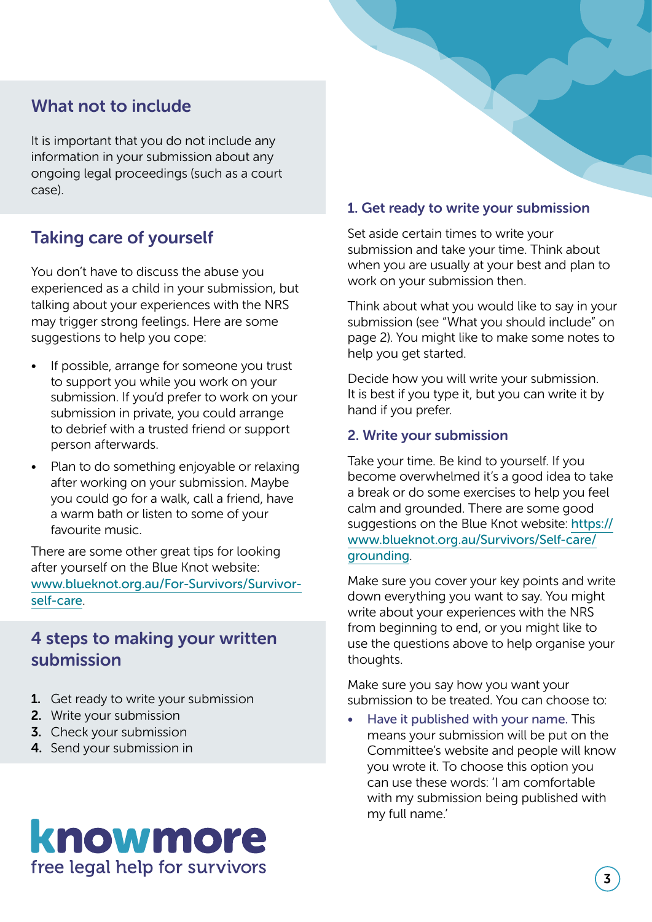### What not to include

It is important that you do not include any information in your submission about any ongoing legal proceedings (such as a court case).

## Taking care of yourself

You don't have to discuss the abuse you experienced as a child in your submission, but talking about your experiences with the NRS may trigger strong feelings. Here are some suggestions to help you cope:

- If possible, arrange for someone you trust to support you while you work on your submission. If you'd prefer to work on your submission in private, you could arrange to debrief with a trusted friend or support person afterwards.
- Plan to do something enjoyable or relaxing after working on your submission. Maybe you could go for a walk, call a friend, have a warm bath or listen to some of your favourite music.

There are some other great tips for looking after yourself on the Blue Knot website: www.blueknot.org.au/For-Survivors/Survivorself-care.

### 4 steps to making your written submission

- 1. Get ready to write your submission
- 2. Write your submission
- **3.** Check your submission
- 4. Send your submission in

#### 1. Get ready to write your submission

Set aside certain times to write your submission and take your time. Think about when you are usually at your best and plan to work on your submission then.

Think about what you would like to say in your submission (see "What you should include" on page 2). You might like to make some notes to help you get started.

Decide how you will write your submission. It is best if you type it, but you can write it by hand if you prefer.

#### 2. Write your submission

Take your time. Be kind to yourself. If you become overwhelmed it's a good idea to take a break or do some exercises to help you feel calm and grounded. There are some good suggestions on the Blue Knot website: https:// www.blueknot.org.au/Survivors/Self-care/ grounding.

Make sure you cover your key points and write down everything you want to say. You might write about your experiences with the NRS from beginning to end, or you might like to use the questions above to help organise your thoughts.

Make sure you say how you want your submission to be treated. You can choose to:

• Have it published with your name. This means your submission will be put on the Committee's website and people will know you wrote it. To choose this option you can use these words: 'I am comfortable with my submission being published with my full name.'

## knowmore free legal help for survivors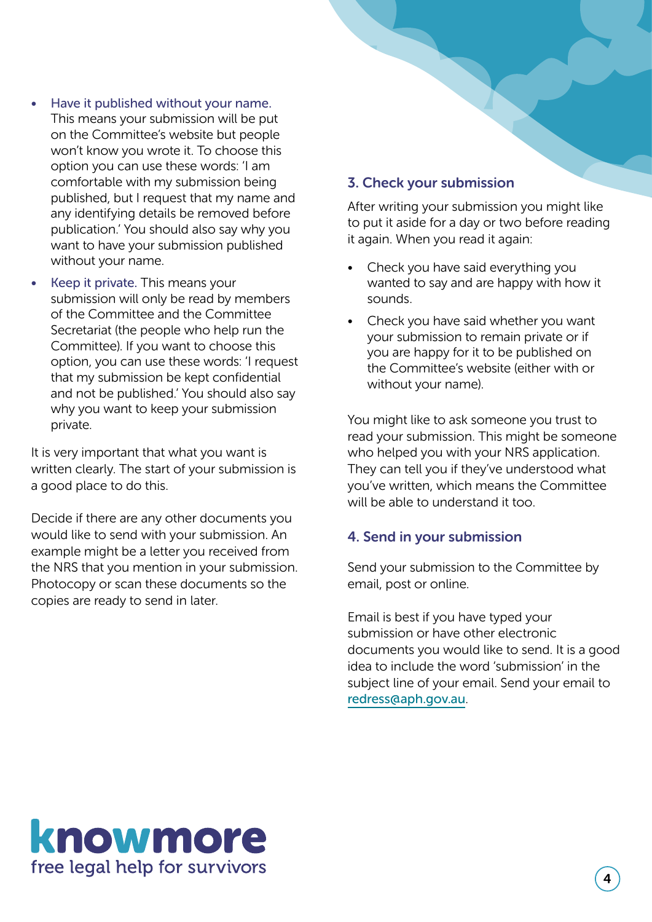- Have it published without your name. This means your submission will be put on the Committee's website but people won't know you wrote it. To choose this option you can use these words: 'I am comfortable with my submission being published, but I request that my name and any identifying details be removed before publication.' You should also say why you want to have your submission published without your name.
- Keep it private. This means your submission will only be read by members of the Committee and the Committee Secretariat (the people who help run the Committee). If you want to choose this option, you can use these words: 'I request that my submission be kept confidential and not be published.' You should also say why you want to keep your submission private.

It is very important that what you want is written clearly. The start of your submission is a good place to do this.

Decide if there are any other documents you would like to send with your submission. An example might be a letter you received from the NRS that you mention in your submission. Photocopy or scan these documents so the copies are ready to send in later.

#### 3. Check your submission

After writing your submission you might like to put it aside for a day or two before reading it again. When you read it again:

- Check you have said everything you wanted to say and are happy with how it sounds.
- Check you have said whether you want your submission to remain private or if you are happy for it to be published on the Committee's website (either with or without your name).

You might like to ask someone you trust to read your submission. This might be someone who helped you with your NRS application. They can tell you if they've understood what you've written, which means the Committee will be able to understand it too.

#### 4. Send in your submission

Send your submission to the Committee by email, post or online.

Email is best if you have typed your submission or have other electronic documents you would like to send. It is a good idea to include the word 'submission' in the subject line of your email. Send your email to redress@aph.gov.au.